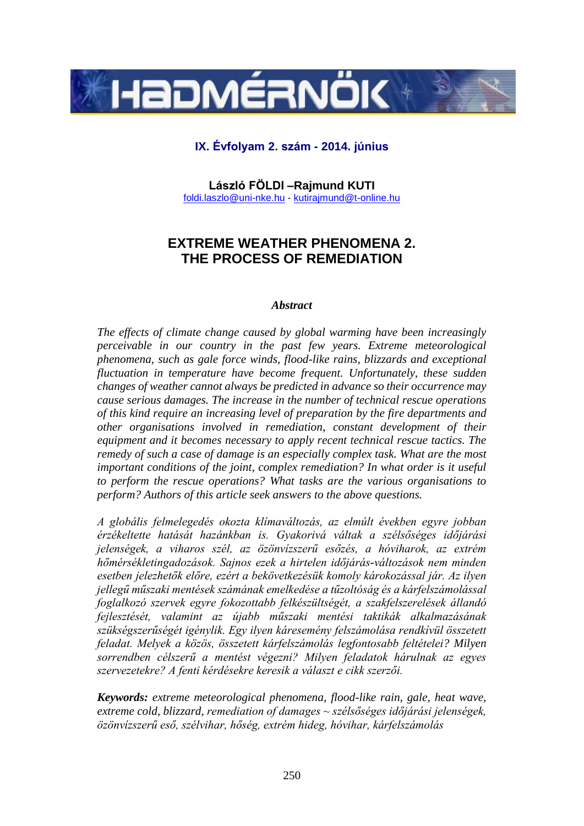

# **IX. Évfolyam 2. szám - 2014. június**

**László FÖLDI –Rajmund KUTI** foldi.laszlo@uni-nke.hu - [kutirajmund@t-online.hu](mailto:kutirajmund@t-online.hu)

# **EXTREME WEATHER PHENOMENA 2. THE PROCESS OF REMEDIATION**

### *Abstract*

*The effects of climate change caused by global warming have been increasingly perceivable in our country in the past few years. Extreme meteorological phenomena, such as gale force winds, flood-like rains, blizzards and exceptional fluctuation in temperature have become frequent. Unfortunately, these sudden changes of weather cannot always be predicted in advance so their occurrence may cause serious damages. The increase in the number of technical rescue operations of this kind require an increasing level of preparation by the fire departments and other organisations involved in remediation, constant development of their equipment and it becomes necessary to apply recent technical rescue tactics. The remedy of such a case of damage is an especially complex task. What are the most important conditions of the joint, complex remediation? In what order is it useful to perform the rescue operations? What tasks are the various organisations to perform? Authors of this article seek answers to the above questions.*

*A globális felmelegedés okozta klímaváltozás, az elmúlt években egyre jobban érzékeltette hatását hazánkban is. Gyakorivá váltak a szélsőséges időjárási jelenségek, a viharos szél, az özönvízszerű esőzés, a hóviharok, az extrém hőmérsékletingadozások. Sajnos ezek a hirtelen időjárás-változások nem minden esetben jelezhetők előre, ezért a bekövetkezésük komoly károkozással jár. Az ilyen jellegű műszaki mentések számának emelkedése a tűzoltóság és a kárfelszámolással foglalkozó szervek egyre fokozottabb felkészültségét, a szakfelszerelések állandó fejlesztését, valamint az újabb műszaki mentési taktikák alkalmazásának szükségszerűségét igénylik. Egy ilyen káresemény felszámolása rendkívül összetett feladat. Melyek a közös, összetett kárfelszámolás legfontosabb feltételei? Milyen sorrendben célszerű a mentést végezni? Milyen feladatok hárulnak az egyes szervezetekre? A fenti kérdésekre keresik a választ e cikk szerzői.*

*Keywords: extreme meteorological phenomena, flood-like rain, gale, heat wave, extreme cold, blizzard, remediation of damages ~ szélsőséges időjárási jelenségek, özönvízszerű eső, szélvihar, hőség, extrém hideg, hóvihar, kárfelszámolás*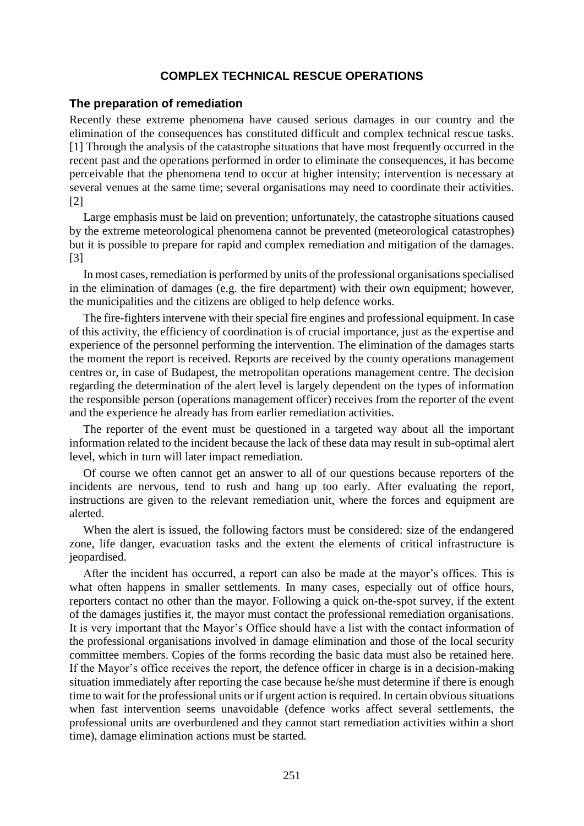### **COMPLEX TECHNICAL RESCUE OPERATIONS**

### **The preparation of remediation**

Recently these extreme phenomena have caused serious damages in our country and the elimination of the consequences has constituted difficult and complex technical rescue tasks. [1] Through the analysis of the catastrophe situations that have most frequently occurred in the recent past and the operations performed in order to eliminate the consequences, it has become perceivable that the phenomena tend to occur at higher intensity; intervention is necessary at several venues at the same time; several organisations may need to coordinate their activities. [2]

Large emphasis must be laid on prevention; unfortunately, the catastrophe situations caused by the extreme meteorological phenomena cannot be prevented (meteorological catastrophes) but it is possible to prepare for rapid and complex remediation and mitigation of the damages. [3]

In most cases, remediation is performed by units of the professional organisations specialised in the elimination of damages (e.g. the fire department) with their own equipment; however, the municipalities and the citizens are obliged to help defence works.

The fire-fighters intervene with their special fire engines and professional equipment. In case of this activity, the efficiency of coordination is of crucial importance, just as the expertise and experience of the personnel performing the intervention. The elimination of the damages starts the moment the report is received. Reports are received by the county operations management centres or, in case of Budapest, the metropolitan operations management centre. The decision regarding the determination of the alert level is largely dependent on the types of information the responsible person (operations management officer) receives from the reporter of the event and the experience he already has from earlier remediation activities.

The reporter of the event must be questioned in a targeted way about all the important information related to the incident because the lack of these data may result in sub-optimal alert level, which in turn will later impact remediation.

Of course we often cannot get an answer to all of our questions because reporters of the incidents are nervous, tend to rush and hang up too early. After evaluating the report, instructions are given to the relevant remediation unit, where the forces and equipment are alerted.

When the alert is issued, the following factors must be considered: size of the endangered zone, life danger, evacuation tasks and the extent the elements of critical infrastructure is jeopardised.

After the incident has occurred, a report can also be made at the mayor's offices. This is what often happens in smaller settlements. In many cases, especially out of office hours, reporters contact no other than the mayor. Following a quick on-the-spot survey, if the extent of the damages justifies it, the mayor must contact the professional remediation organisations. It is very important that the Mayor's Office should have a list with the contact information of the professional organisations involved in damage elimination and those of the local security committee members. Copies of the forms recording the basic data must also be retained here. If the Mayor's office receives the report, the defence officer in charge is in a decision-making situation immediately after reporting the case because he/she must determine if there is enough time to wait for the professional units or if urgent action is required. In certain obvious situations when fast intervention seems unavoidable (defence works affect several settlements, the professional units are overburdened and they cannot start remediation activities within a short time), damage elimination actions must be started.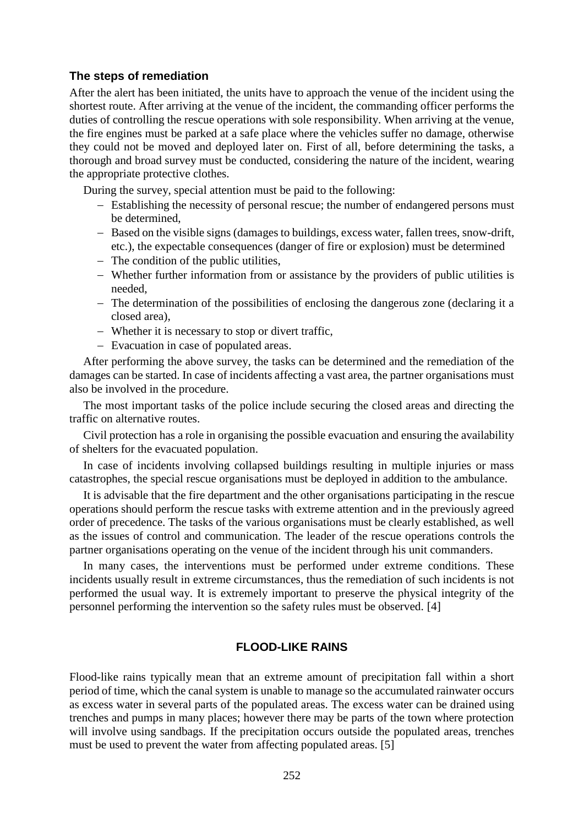### **The steps of remediation**

After the alert has been initiated, the units have to approach the venue of the incident using the shortest route. After arriving at the venue of the incident, the commanding officer performs the duties of controlling the rescue operations with sole responsibility. When arriving at the venue, the fire engines must be parked at a safe place where the vehicles suffer no damage, otherwise they could not be moved and deployed later on. First of all, before determining the tasks, a thorough and broad survey must be conducted, considering the nature of the incident, wearing the appropriate protective clothes.

During the survey, special attention must be paid to the following:

- Establishing the necessity of personal rescue; the number of endangered persons must be determined,
- Based on the visible signs (damages to buildings, excess water, fallen trees, snow-drift, etc.), the expectable consequences (danger of fire or explosion) must be determined
- $-$  The condition of the public utilities,
- Whether further information from or assistance by the providers of public utilities is needed,
- The determination of the possibilities of enclosing the dangerous zone (declaring it a closed area),
- Whether it is necessary to stop or divert traffic,
- Evacuation in case of populated areas.

After performing the above survey, the tasks can be determined and the remediation of the damages can be started. In case of incidents affecting a vast area, the partner organisations must also be involved in the procedure.

The most important tasks of the police include securing the closed areas and directing the traffic on alternative routes.

Civil protection has a role in organising the possible evacuation and ensuring the availability of shelters for the evacuated population.

In case of incidents involving collapsed buildings resulting in multiple injuries or mass catastrophes, the special rescue organisations must be deployed in addition to the ambulance.

It is advisable that the fire department and the other organisations participating in the rescue operations should perform the rescue tasks with extreme attention and in the previously agreed order of precedence. The tasks of the various organisations must be clearly established, as well as the issues of control and communication. The leader of the rescue operations controls the partner organisations operating on the venue of the incident through his unit commanders.

In many cases, the interventions must be performed under extreme conditions. These incidents usually result in extreme circumstances, thus the remediation of such incidents is not performed the usual way. It is extremely important to preserve the physical integrity of the personnel performing the intervention so the safety rules must be observed. [4]

### **FLOOD-LIKE RAINS**

Flood-like rains typically mean that an extreme amount of precipitation fall within a short period of time, which the canal system is unable to manage so the accumulated rainwater occurs as excess water in several parts of the populated areas. The excess water can be drained using trenches and pumps in many places; however there may be parts of the town where protection will involve using sandbags. If the precipitation occurs outside the populated areas, trenches must be used to prevent the water from affecting populated areas. [5]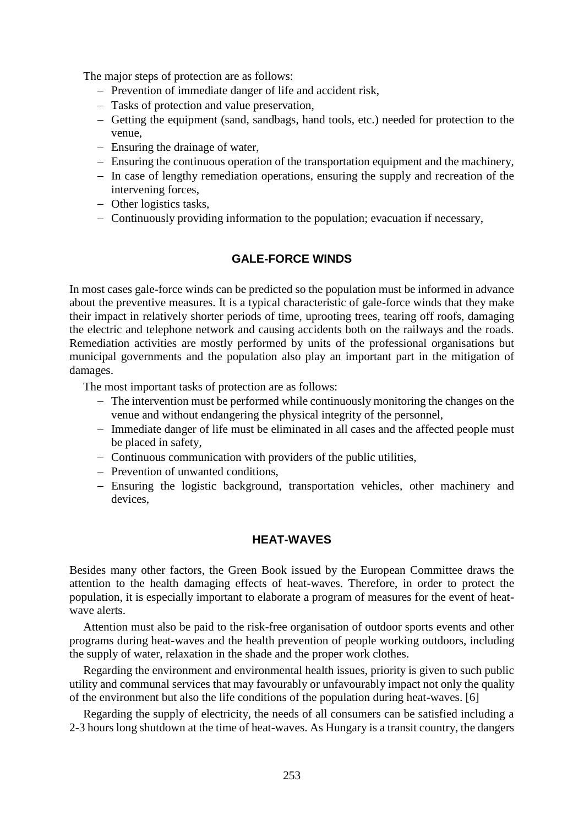The major steps of protection are as follows:

- Prevention of immediate danger of life and accident risk,
- Tasks of protection and value preservation,
- Getting the equipment (sand, sandbags, hand tools, etc.) needed for protection to the venue,
- Ensuring the drainage of water,
- Ensuring the continuous operation of the transportation equipment and the machinery,
- In case of lengthy remediation operations, ensuring the supply and recreation of the intervening forces,
- Other logistics tasks,
- Continuously providing information to the population; evacuation if necessary,

# **GALE-FORCE WINDS**

In most cases gale-force winds can be predicted so the population must be informed in advance about the preventive measures. It is a typical characteristic of gale-force winds that they make their impact in relatively shorter periods of time, uprooting trees, tearing off roofs, damaging the electric and telephone network and causing accidents both on the railways and the roads. Remediation activities are mostly performed by units of the professional organisations but municipal governments and the population also play an important part in the mitigation of damages.

The most important tasks of protection are as follows:

- The intervention must be performed while continuously monitoring the changes on the venue and without endangering the physical integrity of the personnel,
- Immediate danger of life must be eliminated in all cases and the affected people must be placed in safety,
- Continuous communication with providers of the public utilities,
- Prevention of unwanted conditions,
- Ensuring the logistic background, transportation vehicles, other machinery and devices,

## **HEAT-WAVES**

Besides many other factors, the Green Book issued by the European Committee draws the attention to the health damaging effects of heat-waves. Therefore, in order to protect the population, it is especially important to elaborate a program of measures for the event of heatwave alerts.

Attention must also be paid to the risk-free organisation of outdoor sports events and other programs during heat-waves and the health prevention of people working outdoors, including the supply of water, relaxation in the shade and the proper work clothes.

Regarding the environment and environmental health issues, priority is given to such public utility and communal services that may favourably or unfavourably impact not only the quality of the environment but also the life conditions of the population during heat-waves. [6]

Regarding the supply of electricity, the needs of all consumers can be satisfied including a 2-3 hours long shutdown at the time of heat-waves. As Hungary is a transit country, the dangers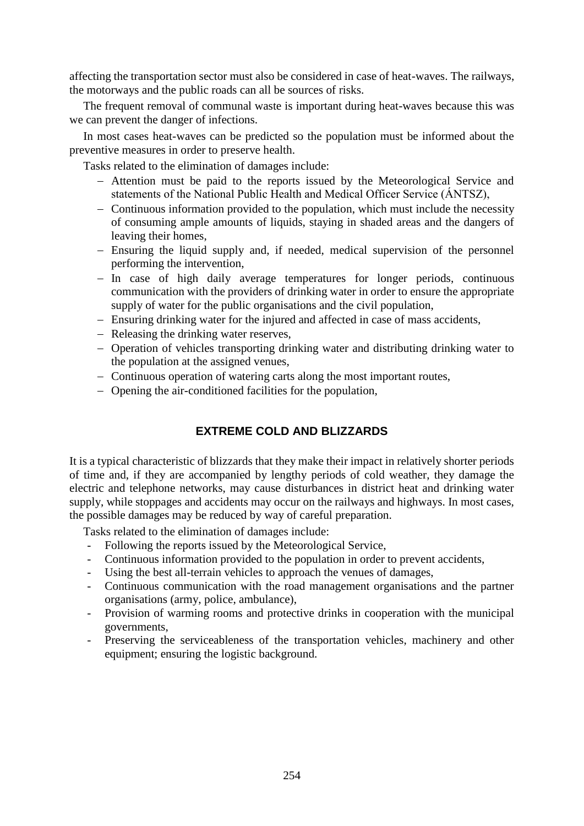affecting the transportation sector must also be considered in case of heat-waves. The railways, the motorways and the public roads can all be sources of risks.

The frequent removal of communal waste is important during heat-waves because this was we can prevent the danger of infections.

In most cases heat-waves can be predicted so the population must be informed about the preventive measures in order to preserve health.

Tasks related to the elimination of damages include:

- Attention must be paid to the reports issued by the Meteorological Service and statements of the National Public Health and Medical Officer Service (ÁNTSZ),
- Continuous information provided to the population, which must include the necessity of consuming ample amounts of liquids, staying in shaded areas and the dangers of leaving their homes,
- Ensuring the liquid supply and, if needed, medical supervision of the personnel performing the intervention,
- In case of high daily average temperatures for longer periods, continuous communication with the providers of drinking water in order to ensure the appropriate supply of water for the public organisations and the civil population,
- Ensuring drinking water for the injured and affected in case of mass accidents,
- Releasing the drinking water reserves,
- Operation of vehicles transporting drinking water and distributing drinking water to the population at the assigned venues,
- Continuous operation of watering carts along the most important routes,
- Opening the air-conditioned facilities for the population,

## **EXTREME COLD AND BLIZZARDS**

It is a typical characteristic of blizzards that they make their impact in relatively shorter periods of time and, if they are accompanied by lengthy periods of cold weather, they damage the electric and telephone networks, may cause disturbances in district heat and drinking water supply, while stoppages and accidents may occur on the railways and highways. In most cases, the possible damages may be reduced by way of careful preparation.

Tasks related to the elimination of damages include:

- Following the reports issued by the Meteorological Service,
- Continuous information provided to the population in order to prevent accidents,
- Using the best all-terrain vehicles to approach the venues of damages,
- Continuous communication with the road management organisations and the partner organisations (army, police, ambulance),
- Provision of warming rooms and protective drinks in cooperation with the municipal governments,
- Preserving the serviceableness of the transportation vehicles, machinery and other equipment; ensuring the logistic background.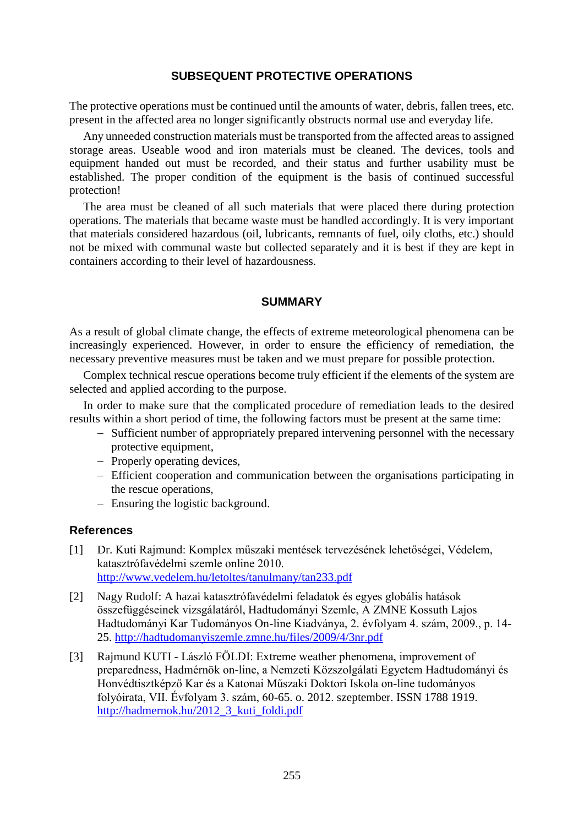### **SUBSEQUENT PROTECTIVE OPERATIONS**

The protective operations must be continued until the amounts of water, debris, fallen trees, etc. present in the affected area no longer significantly obstructs normal use and everyday life.

Any unneeded construction materials must be transported from the affected areas to assigned storage areas. Useable wood and iron materials must be cleaned. The devices, tools and equipment handed out must be recorded, and their status and further usability must be established. The proper condition of the equipment is the basis of continued successful protection!

The area must be cleaned of all such materials that were placed there during protection operations. The materials that became waste must be handled accordingly. It is very important that materials considered hazardous (oil, lubricants, remnants of fuel, oily cloths, etc.) should not be mixed with communal waste but collected separately and it is best if they are kept in containers according to their level of hazardousness.

#### **SUMMARY**

As a result of global climate change, the effects of extreme meteorological phenomena can be increasingly experienced. However, in order to ensure the efficiency of remediation, the necessary preventive measures must be taken and we must prepare for possible protection.

Complex technical rescue operations become truly efficient if the elements of the system are selected and applied according to the purpose.

In order to make sure that the complicated procedure of remediation leads to the desired results within a short period of time, the following factors must be present at the same time:

- Sufficient number of appropriately prepared intervening personnel with the necessary protective equipment,
- Properly operating devices,
- Efficient cooperation and communication between the organisations participating in the rescue operations,
- Ensuring the logistic background.

#### **References**

- [1] Dr. Kuti Rajmund: Komplex műszaki mentések tervezésének lehetőségei, Védelem, katasztrófavédelmi szemle online 2010. <http://www.vedelem.hu/letoltes/tanulmany/tan233.pdf>
- [2] Nagy Rudolf: A hazai katasztrófavédelmi feladatok és egyes globális hatások összefüggéseinek vizsgálatáról, Hadtudományi Szemle, A ZMNE Kossuth Lajos Hadtudományi Kar Tudományos On-line Kiadványa, 2. évfolyam 4. szám, 2009., p. 14- 25.<http://hadtudomanyiszemle.zmne.hu/files/2009/4/3nr.pdf>
- [3] Rajmund KUTI László FÖLDI: Extreme weather phenomena, improvement of preparedness, Hadmérnök on-line, a Nemzeti Közszolgálati Egyetem Hadtudományi és Honvédtisztképző Kar és a Katonai Műszaki Doktori Iskola on-line tudományos folyóirata, VII. Évfolyam 3. szám, 60-65. o. 2012. szeptember. ISSN 1788 1919. [http://hadmernok.hu/2012\\_3\\_kuti\\_foldi.pdf](http://hadmernok.hu/2012_3_kuti_foldi.pdf)